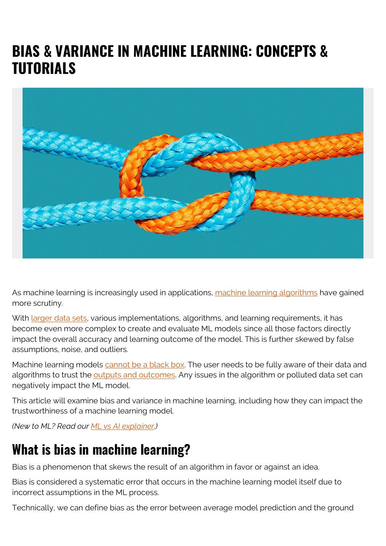# **BIAS & VARIANCE IN MACHINE LEARNING: CONCEPTS & TUTORIALS**



As machine learning is increasingly used in applications, [machine learning algorithms](https://blogs.bmc.com/blogs/machine-learning-algorithms/) have gained more scrutiny.

With [larger data sets](https://blogs.bmc.com/blogs/big-data/), various implementations, algorithms, and learning requirements, it has become even more complex to create and evaluate ML models since all those factors directly impact the overall accuracy and learning outcome of the model. This is further skewed by false assumptions, noise, and outliers.

Machine learning models [cannot be a black box](https://blogs.bmc.com/blogs/machine-learning-interpretability-vs-explainability/). The user needs to be fully aware of their data and algorithms to trust the [outputs and outcomes](https://blogs.bmc.com/blogs/outcomes-vs-outputs). Any issues in the algorithm or polluted data set can negatively impact the ML model.

This article will examine bias and variance in machine learning, including how they can impact the trustworthiness of a machine learning model.

*(New to ML? Read our [ML vs AI explainer.](https://blogs.bmc.com/blogs/artificial-intelligence-vs-machine-learning/))*

#### **What is bias in machine learning?**

Bias is a phenomenon that skews the result of an algorithm in favor or against an idea.

Bias is considered a systematic error that occurs in the machine learning model itself due to incorrect assumptions in the ML process.

Technically, we can define bias as the error between average model prediction and the ground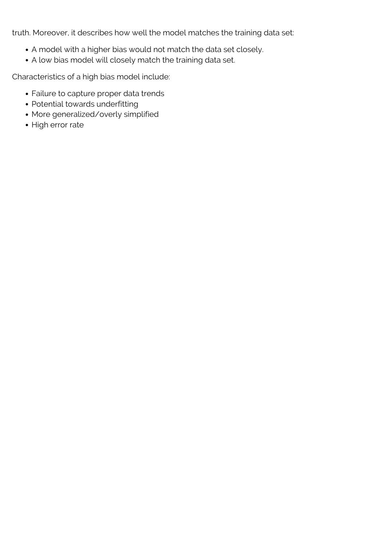truth. Moreover, it describes how well the model matches the training data set:

- A model with a higher bias would not match the data set closely.
- A low bias model will closely match the training data set.

Characteristics of a high bias model include:

- Failure to capture proper data trends
- Potential towards underfitting
- More generalized/overly simplified
- High error rate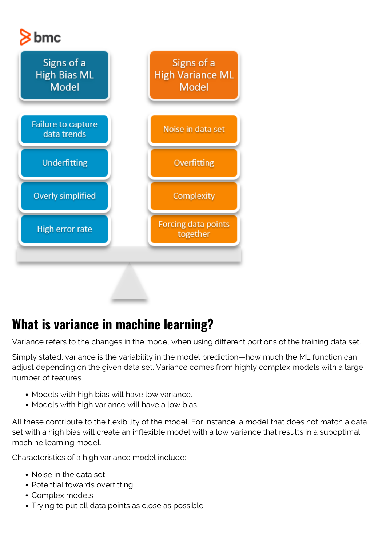# $8$  bmc



# **What is variance in machine learning?**

Variance refers to the changes in the model when using different portions of the training data set.

Simply stated, variance is the variability in the model prediction—how much the ML function can adjust depending on the given data set. Variance comes from highly complex models with a large number of features.

- Models with high bias will have low variance.
- Models with high variance will have a low bias.

All these contribute to the flexibility of the model. For instance, a model that does not match a data set with a high bias will create an inflexible model with a low variance that results in a suboptimal machine learning model.

Characteristics of a high variance model include:

- Noise in the data set
- Potential towards overfitting
- Complex models
- Trying to put all data points as close as possible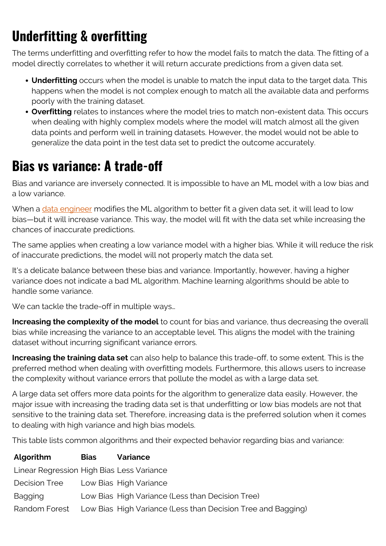# **Underfitting & overfitting**

The terms underfitting and overfitting refer to how the model fails to match the data. The fitting of a model directly correlates to whether it will return accurate predictions from a given data set.

- **Underfitting** occurs when the model is unable to match the input data to the target data. This happens when the model is not complex enough to match all the available data and performs poorly with the training dataset.
- **Overfitting** relates to instances where the model tries to match non-existent data. This occurs when dealing with highly complex models where the model will match almost all the given data points and perform well in training datasets. However, the model would not be able to generalize the data point in the test data set to predict the outcome accurately.

#### **Bias vs variance: A trade-off**

Bias and variance are inversely connected. It is impossible to have an ML model with a low bias and a low variance.

When a [data engineer](https://blogs.bmc.com/blogs/data-engineer-vs-data-scientist/) modifies the ML algorithm to better fit a given data set, it will lead to low bias—but it will increase variance. This way, the model will fit with the data set while increasing the chances of inaccurate predictions.

The same applies when creating a low variance model with a higher bias. While it will reduce the risk of inaccurate predictions, the model will not properly match the data set.

It's a delicate balance between these bias and variance. Importantly, however, having a higher variance does not indicate a bad ML algorithm. Machine learning algorithms should be able to handle some variance.

We can tackle the trade-off in multiple ways…

**Increasing the complexity of the model** to count for bias and variance, thus decreasing the overall bias while increasing the variance to an acceptable level. This aligns the model with the training dataset without incurring significant variance errors.

**Increasing the training data set** can also help to balance this trade-off, to some extent. This is the preferred method when dealing with overfitting models. Furthermore, this allows users to increase the complexity without variance errors that pollute the model as with a large data set.

A large data set offers more data points for the algorithm to generalize data easily. However, the major issue with increasing the trading data set is that underfitting or low bias models are not that sensitive to the training data set. Therefore, increasing data is the preferred solution when it comes to dealing with high variance and high bias models.

This table lists common algorithms and their expected behavior regarding bias and variance:

| Algorithm                                 | <b>Bias</b> | <b>Variance</b>                                                            |
|-------------------------------------------|-------------|----------------------------------------------------------------------------|
| Linear Regression High Bias Less Variance |             |                                                                            |
| <b>Decision Tree</b>                      |             | Low Bias High Variance                                                     |
| <b>Bagging</b>                            |             | Low Bias High Variance (Less than Decision Tree)                           |
|                                           |             | Random Forest Low Bias High Variance (Less than Decision Tree and Bagging) |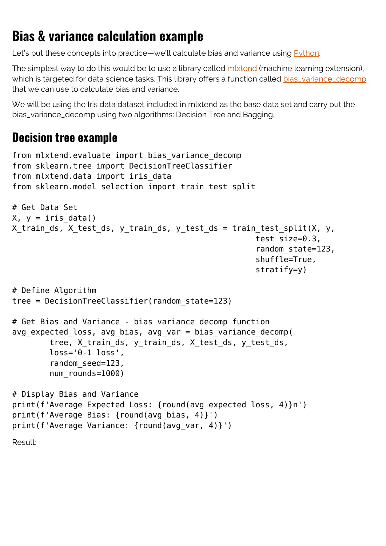### **Bias & variance calculation example**

Let's put these concepts into practice—we'll calculate bias and variance using [Python](https://blogs.bmc.com/blogs/python-tooling/).

The simplest way to do this would be to use a library called mixtend (machine learning extension), which is targeted for data science tasks. This library offers a function called [bias\\_variance\\_decomp](http://rasbt.github.io/mlxtend/user_guide/evaluate/bias_variance_decomp/) that we can use to calculate bias and variance.

We will be using the Iris data dataset included in mixtend as the base data set and carry out the bias\_variance\_decomp using two algorithms: Decision Tree and Bagging.

#### **Decision tree example**

```
from mlxtend.evaluate import bias variance decomp
from sklearn.tree import DecisionTreeClassifier
from mlxtend.data import iris_data
from sklearn.model selection import train test split
# Get Data Set
X, y = iris data()X train ds, X test ds, y train ds, y test ds = train test split(X, y,
                                                     test size=0.3,
                                                      random_state=123,
                                                      shuffle=True,
                                                      stratify=y)
# Define Algorithm
tree = DecisionTreeClassifier(random_state=123)
# Get Bias and Variance - bias_variance_decomp function
avg expected loss, avg bias, avg var = bias variance decomp(
         tree, X_train_ds, y_train_ds, X_test_ds, y_test_ds,
        loss='0-1 loss',
        random seed=123,
         num_rounds=1000)
# Display Bias and Variance
print(f'Average Expected Loss: {round(avg_expected_loss, 4)}n')
print(f'Average Bias: {round(avg bias, 4)}')
print(f'Average Variance: {round(avg_var, 4)}')
Result:
```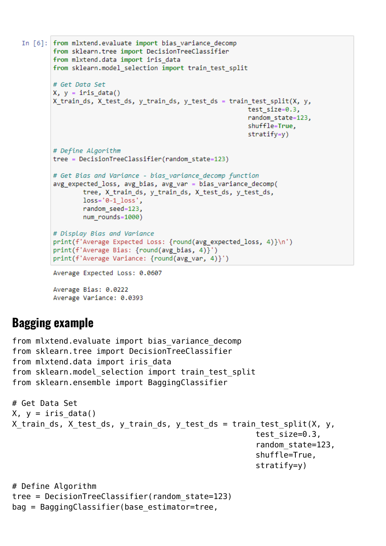```
In [6]: from mlxtend.evaluate import bias variance decomp
        from sklearn.tree import DecisionTreeClassifier
        from mlxtend.data import iris data
        from sklearn.model selection import train test split
        # Get Data Set
        X, y = iris data()X train ds, X test ds, y train ds, y test ds = train test split(X, y,
                                                             test size=0.3,
                                                             random state=123,
                                                             shuffle=True,
                                                             stratify=y)# Define Algorithm
        tree = DecisionTreeClassifier(random_state=123)
        # Get Bias and Variance - bias variance decomp function
        avg expected loss, avg bias, avg var = bias variance decomp(
                tree, X train ds, y train ds, X test ds, y test ds,
                loss='0-1 loss',random_seed=123,
                num rounds=1000)
        # Display Bias and Variance
        print(f'Average Expected Loss: {round(avg expected loss, 4)}\n')
        print(f'Average Bias: {round(avg bias, 4)}')
        print(f'Average Variance: {round(avg var, 4)}')
        Average Expected Loss: 0.0607
```
Average Bias: 0.0222 Average Variance: 0.0393

#### **Bagging example**

```
from mlxtend.evaluate import bias variance decomp
from sklearn.tree import DecisionTreeClassifier
from mlxtend.data import iris data
from sklearn.model selection import train test split
from sklearn.ensemble import BaggingClassifier
# Get Data Set
X, y = \text{iris data}()X_train_ds, X_test_ds, y_train_ds, y_test_ds = train_test_split(X, y,
                                                       test_size=0.3,
                                                       random_state=123,
                                                       shuffle=True,
                                                       stratify=y)
# Define Algorithm
tree = DecisionTreeClassifier(random_state=123)
```

```
bag = BaggingClassifier(base estimator=tree,
```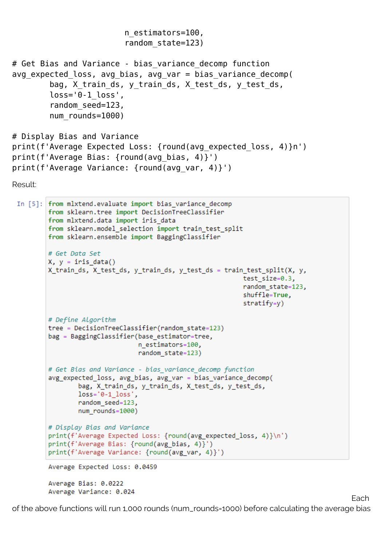```
 n_estimators=100,
                          random_state=123)
# Get Bias and Variance - bias variance decomp function
avg expected loss, avg bias, avg var = bias variance decomp(
        bag, X train ds, y train ds, X test ds, y test ds,
        loss='0-1 loss',
         random_seed=123,
        num rounds=1000)
# Display Bias and Variance
print(f'Average Expected Loss: {round(avg expected loss, 4)}n')
print(f'Average Bias: {round(avg_bias, 4)}')
print(f'Average Variance: {round(avg var, 4)}')
Result:
 In [5]: from mlxtend.evaluate import bias variance decomp
        from sklearn.tree import DecisionTreeClassifier
```

```
from mlxtend.data import iris data
from sklearn.model selection import train test split
from sklearn.ensemble import BaggingClassifier
# Get Data Set
X, y = iris data()X_train_ds, X_test_ds, y_train_ds, y_test_ds = train_test_split(X, y,
                                                    test size=0.3,
                                                    random state=123,
                                                    shuffle=True,
                                                    stratify=y)# Define Algorithm
tree = DecisionTreeClassifier(random_state=123)
bag = BaggingClassifier(base_estimator=tree,
                        n estimators=100,
                        random state=123)
# Get Bias and Variance - bias variance decomp function
avg_expected_loss, avg_bias, avg_var = bias_variance_decomp(
        bag, X_train_ds, y_train_ds, X_test_ds, y_test_ds,
        loss='0-1 loss',random_seed=123,
        num rounds=1000)
# Display Bias and Variance
print(f'Average Expected Loss: {round(avg_expected_loss, 4)}\n')
print(f'Average Bias: {round(avg_bias, 4)}')
print(f'Average Variance: {round(avg_var, 4)}')
Average Expected Loss: 0.0459
```
Average Bias: 0.0222 Average Variance: 0.024

of the above functions will run 1,000 rounds (num\_rounds=1000) before calculating the average bias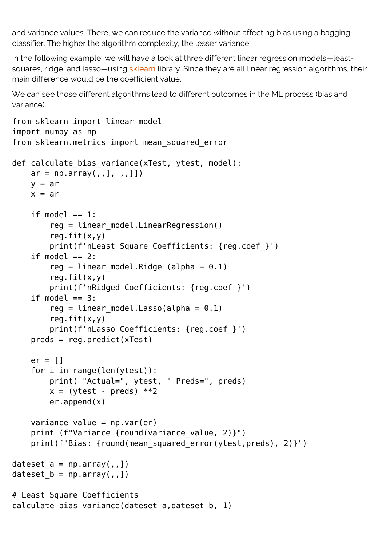and variance values. There, we can reduce the variance without affecting bias using a bagging classifier. The higher the algorithm complexity, the lesser variance.

In the following example, we will have a look at three different linear regression models—leastsquares, ridge, and lasso—using [sklearn](https://scikit-learn.org) library. Since they are all linear regression algorithms, their main difference would be the coefficient value.

We can see those different algorithms lead to different outcomes in the ML process (bias and variance).

```
from sklearn import linear model
import numpy as np
from sklearn.metrics import mean_squared_error
def calculate bias variance(xTest, ytest, model):
    ar = np.array(,,],,,]])
    y = arx = arif model == 1:
        reg = linear model.LinearRegression()reg.fit(x,y) print(f'nLeast Square Coefficients: {reg.coef_}')
    if model == 2:
        reg = linear model.Ridge (alpha = 0.1)
        reg.fit(x,y) print(f'nRidged Coefficients: {reg.coef_}')
    if model == 3:
        reg = linear model.Lasso(alpha = 0.1)
        reg.fit(x,y) print(f'nLasso Coefficients: {reg.coef_}')
    preds = req.predict(xTest)er = 11 for i in range(len(ytest)):
         print( "Actual=", ytest, " Preds=", preds)
        x = (ytest - preds) **2 er.append(x)
    variance_value = np.var(er)print (f"Variance {round(variance value, 2)}")
    print(f"Bias: {round(mean squared error(ytest,preds), 2)}")
dateset a = np.array(,,])
dateset b = np.array(,,])
# Least Square Coefficients
calculate_bias_variance(dateset_a,dateset_b, 1)
```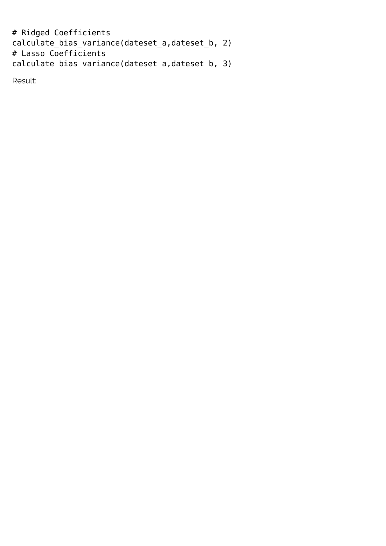```
# Ridged Coefficients
calculate_bias_variance(dateset_a,dateset_b, 2)
# Lasso Coefficients
calculate_bias_variance(dateset_a,dateset_b, 3)
```
Result: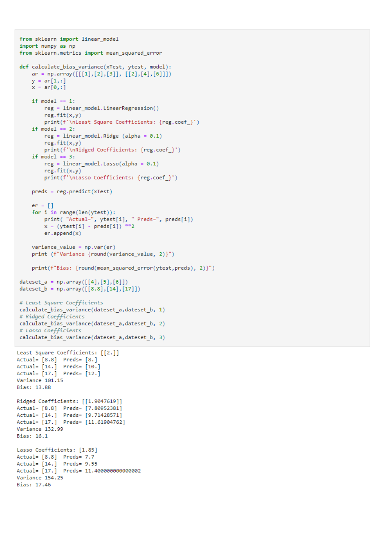```
from sklearn import linear model
 import numpy as np
 from sklearn.metrics import mean squared error
 def calculate_bias_variance(xTest, ytest, model):
    ar = np.array([[1],[2],[3]], [[2],[4],[6]])
    y = ar[1, 1]x = ar[0, 1]if model == 1:
         reg = linear_model.LinearRegression()
         reg.fit(x,y)print(f'\nLeast Square Coefficients: {reg.coef }')
     if model == 2:
         reg = linear_model.Ridge (alpha = 0.1)reg.fit(x,y)print(f'\nRidged Coefficients: {reg.coef_}')
     if model == 3:reg = linear model.Lasso(alpha = 0.1)reg.fit(x,y)print(f'\nLasso Coefficients: {reg.coef_}')
    preds = reg.predict(xTest)er = []for i in range(len(ytest)):
         print( "Actual=", ytest[i], " Preds=", preds[i])
         x = (ytest[i] - preds[i]) **2er.append(x)variance_value = np-var(er)print (f"Variance {round(variance_value, 2)}")
     print(f"Bias: {round(mean squared error(ytest, preds), 2)}")
 dateset a = np.array([[4], [5], [6]])dateset_b = np.array([8.8],[14],[17]])# Least Square Coefficients
 calculate_bias_variance(dateset_a,dateset_b, 1)
 # Ridged Coefficients
 calculate_bias_variance(dateset_a,dateset_b, 2)
 # Lasso Coefficients
calculate bias_variance(dateset_a,dateset_b, 3)
Least Square Coefficients: [[2.]]
Actual= [8.8] Preds= [8.]Actual= [14.] Preds= [10.]
Actual= [17.] Preds= [12.]
Variance 101.15
Bias: 13.88
Ridged Coefficients: [[1.9047619]]
Actual= [8.8] Preds= [7.80952381]
Actual= [14.] Preds= [9.71428571]<br>Actual= [17.] Preds= [11.61904762]
Variance 132.99
Bias: 16.1
Lasso Coefficients: [1.85]
Actual= [8.8] Preds= 7.7
Actual= [14.] Preds= 9.55
Actual= [17.] Preds= 11.400000000000002
Variance 154.25
Bias: 17.46
```